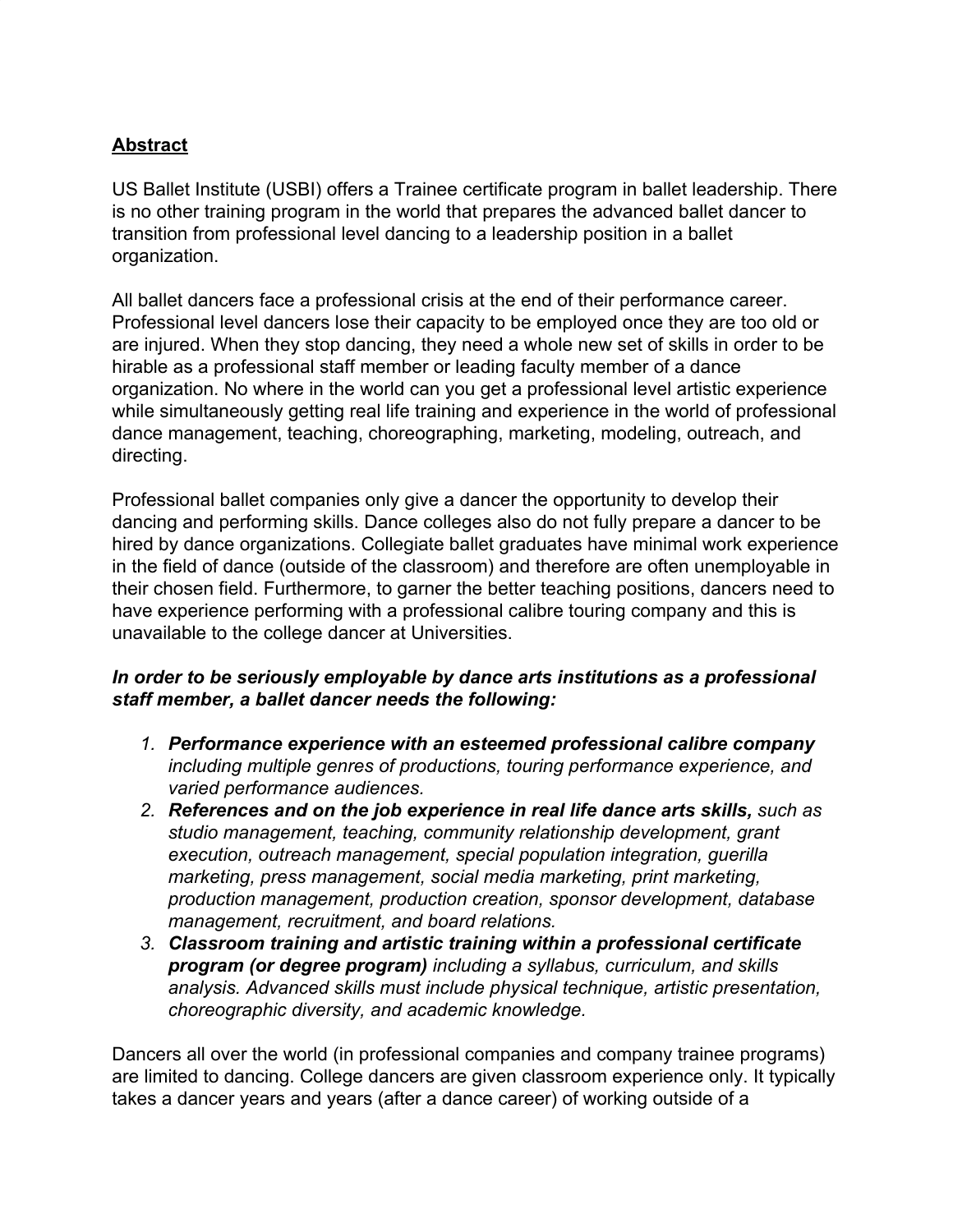### **Abstract**

US Ballet Institute (USBI) offers a Trainee certificate program in ballet leadership. There is no other training program in the world that prepares the advanced ballet dancer to transition from professional level dancing to a leadership position in a ballet organization.

All ballet dancers face a professional crisis at the end of their performance career. Professional level dancers lose their capacity to be employed once they are too old or are injured. When they stop dancing, they need a whole new set of skills in order to be hirable as a professional staff member or leading faculty member of a dance organization. No where in the world can you get a professional level artistic experience while simultaneously getting real life training and experience in the world of professional dance management, teaching, choreographing, marketing, modeling, outreach, and directing.

Professional ballet companies only give a dancer the opportunity to develop their dancing and performing skills. Dance colleges also do not fully prepare a dancer to be hired by dance organizations. Collegiate ballet graduates have minimal work experience in the field of dance (outside of the classroom) and therefore are often unemployable in their chosen field. Furthermore, to garner the better teaching positions, dancers need to have experience performing with a professional calibre touring company and this is unavailable to the college dancer at Universities.

#### *In order to be seriously employable by dance arts institutions as a professional staff member, a ballet dancer needs the following:*

- *1. Performance experience with an esteemed professional calibre company including multiple genres of productions, touring performance experience, and varied performance audiences.*
- *2. References and on the job experience in real life dance arts skills, such as studio management, teaching, community relationship development, grant execution, outreach management, special population integration, guerilla marketing, press management, social media marketing, print marketing, production management, production creation, sponsor development, database management, recruitment, and board relations.*
- *3. Classroom training and artistic training within a professional certificate program (or degree program) including a syllabus, curriculum, and skills analysis. Advanced skills must include physical technique, artistic presentation, choreographic diversity, and academic knowledge.*

Dancers all over the world (in professional companies and company trainee programs) are limited to dancing. College dancers are given classroom experience only. It typically takes a dancer years and years (after a dance career) of working outside of a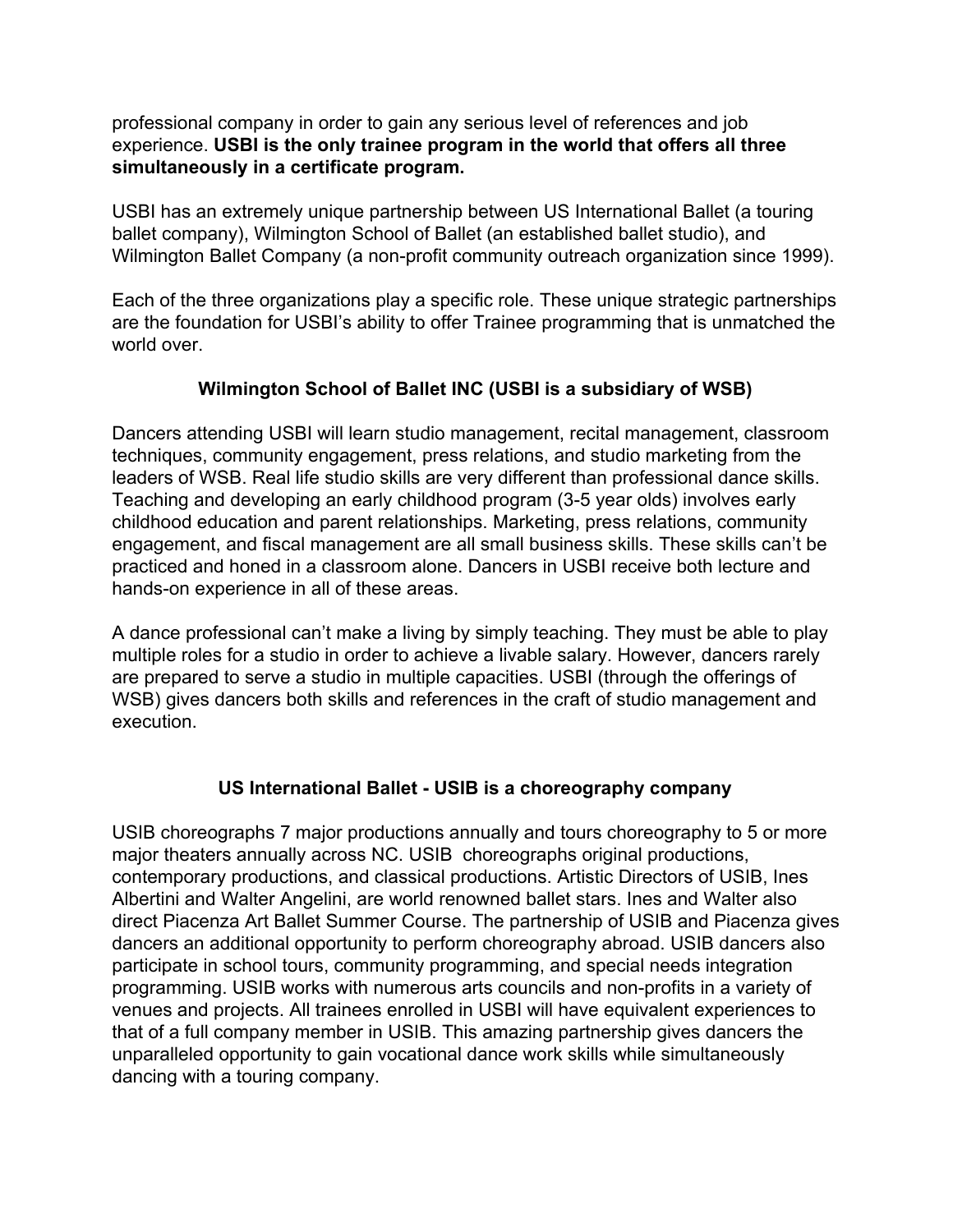professional company in order to gain any serious level of references and job experience. **USBI is the only trainee program in the world that offers all three simultaneously in a certificate program.**

USBI has an extremely unique partnership between US International Ballet (a touring ballet company), Wilmington School of Ballet (an established ballet studio), and Wilmington Ballet Company (a non-profit community outreach organization since 1999).

Each of the three organizations play a specific role. These unique strategic partnerships are the foundation for USBI's ability to offer Trainee programming that is unmatched the world over.

# **Wilmington School of Ballet INC (USBI is a subsidiary of WSB)**

Dancers attending USBI will learn studio management, recital management, classroom techniques, community engagement, press relations, and studio marketing from the leaders of WSB. Real life studio skills are very different than professional dance skills. Teaching and developing an early childhood program (3-5 year olds) involves early childhood education and parent relationships. Marketing, press relations, community engagement, and fiscal management are all small business skills. These skills can't be practiced and honed in a classroom alone. Dancers in USBI receive both lecture and hands-on experience in all of these areas.

A dance professional can't make a living by simply teaching. They must be able to play multiple roles for a studio in order to achieve a livable salary. However, dancers rarely are prepared to serve a studio in multiple capacities. USBI (through the offerings of WSB) gives dancers both skills and references in the craft of studio management and execution.

# **US International Ballet - USIB is a choreography company**

USIB choreographs 7 major productions annually and tours choreography to 5 or more major theaters annually across NC. USIB choreographs original productions, contemporary productions, and classical productions. Artistic Directors of USIB, Ines Albertini and Walter Angelini, are world renowned ballet stars. Ines and Walter also direct Piacenza Art Ballet Summer Course. The partnership of USIB and Piacenza gives dancers an additional opportunity to perform choreography abroad. USIB dancers also participate in school tours, community programming, and special needs integration programming. USIB works with numerous arts councils and non-profits in a variety of venues and projects. All trainees enrolled in USBI will have equivalent experiences to that of a full company member in USIB. This amazing partnership gives dancers the unparalleled opportunity to gain vocational dance work skills while simultaneously dancing with a touring company.